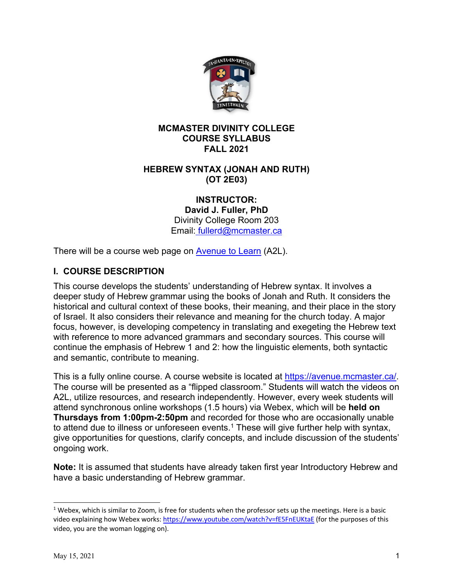

### **MCMASTER DIVINITY COLLEGE COURSE SYLLABUS FALL 2021**

### **HEBREW SYNTAX (JONAH AND RUTH) (OT 2E03)**

**INSTRUCTOR:**

**David J. Fuller, PhD** Divinity College Room 203 Email: fullerd@mcmaster.ca

There will be a course web page on **Avenue to Learn** (A2L).

# **I. COURSE DESCRIPTION**

This course develops the students' understanding of Hebrew syntax. It involves a deeper study of Hebrew grammar using the books of Jonah and Ruth. It considers the historical and cultural context of these books, their meaning, and their place in the story of Israel. It also considers their relevance and meaning for the church today. A major focus, however, is developing competency in translating and exegeting the Hebrew text with reference to more advanced grammars and secondary sources. This course will continue the emphasis of Hebrew 1 and 2: how the linguistic elements, both syntactic and semantic, contribute to meaning.

This is a fully online course. A course website is located at https://avenue.mcmaster.ca/. The course will be presented as a "flipped classroom." Students will watch the videos on A2L, utilize resources, and research independently. However, every week students will attend synchronous online workshops (1.5 hours) via Webex, which will be **held on Thursdays from 1:00pm-2:50pm** and recorded for those who are occasionally unable to attend due to illness or unforeseen events.<sup>1</sup> These will give further help with syntax, give opportunities for questions, clarify concepts, and include discussion of the students' ongoing work.

**Note:** It is assumed that students have already taken first year Introductory Hebrew and have a basic understanding of Hebrew grammar.

 $1$  Webex, which is similar to Zoom, is free for students when the professor sets up the meetings. Here is a basic video explaining how Webex works: https://www.youtube.com/watch?v=fE5FnEUKtaE (for the purposes of this video, you are the woman logging on).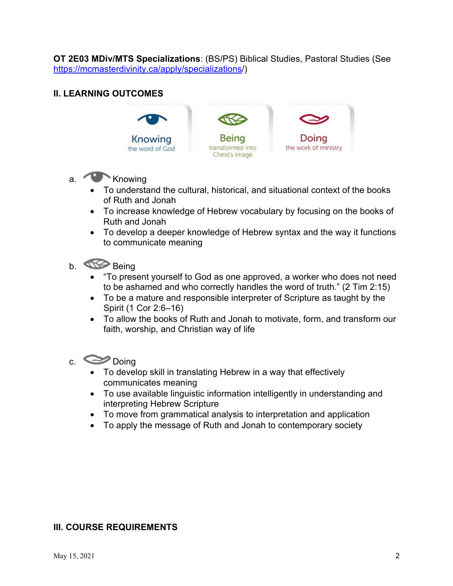**OT 2E03 MDiv/MTS Specializations**: (BS/PS) Biblical Studies, Pastoral Studies (See https://mcmasterdivinity.ca/apply/specializations/)

### **II. LEARNING OUTCOMES**



- a. Knowing
	- To understand the cultural, historical, and situational context of the books of Ruth and Jonah
	- To increase knowledge of Hebrew vocabulary by focusing on the books of Ruth and Jonah
	- To develop a deeper knowledge of Hebrew syntax and the way it functions to communicate meaning
- b. **Being** 
	- "To present yourself to God as one approved, a worker who does not need to be ashamed and who correctly handles the word of truth." (2 Tim 2:15)
	- To be a mature and responsible interpreter of Scripture as taught by the Spirit (1 Cor 2:6–16)
	- To allow the books of Ruth and Jonah to motivate, form, and transform our faith, worship, and Christian way of life
- c. Doing
	- To develop skill in translating Hebrew in a way that effectively communicates meaning
	- To use available linguistic information intelligently in understanding and interpreting Hebrew Scripture
	- To move from grammatical analysis to interpretation and application
	- To apply the message of Ruth and Jonah to contemporary society

#### **III. COURSE REQUIREMENTS**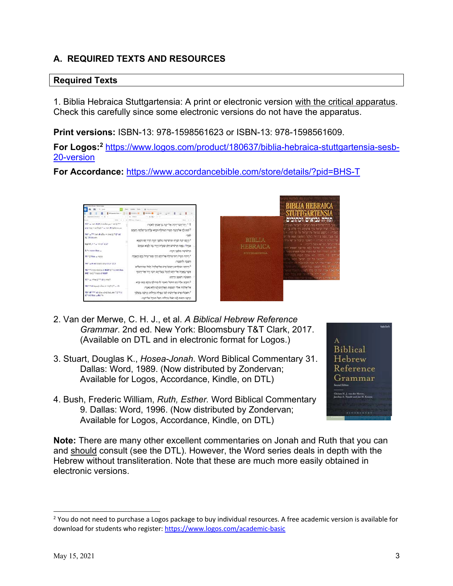# **A. REQUIRED TEXTS AND RESOURCES**

#### **Required Texts**

1. Biblia Hebraica Stuttgartensia: A print or electronic version with the critical apparatus. Check this carefully since some electronic versions do not have the apparatus.

**Print versions:** ISBN-13: 978-1598561623 or ISBN-13: 978-1598561609.

**For Logos: <sup>2</sup>** https://www.logos.com/product/180637/biblia-hebraica-stuttgartensia-sesb-20-version

**For Accordance:** https://www.accordancebible.com/store/details/?pid=BHS-T





- 2. Van der Merwe, C. H. J., et al. *A Biblical Hebrew Reference Grammar*. 2nd ed. New York: Bloomsbury T&T Clark, 2017. (Available on DTL and in electronic format for Logos.)
- 3. Stuart, Douglas K., *Hosea-Jonah*. Word Biblical Commentary 31. Dallas: Word, 1989. (Now distributed by Zondervan; Available for Logos, Accordance, Kindle, on DTL)
- tatelm)  $\Delta$ Biblical Hebrew Reference Grammar **Second Edition** .<br>Clasian H. J. van der Merov.<br>Jacobus A. Naudé and Jun H. Krue
- 4. Bush, Frederic William, *Ruth, Esther.* Word Biblical Commentary 9. Dallas: Word, 1996. (Now distributed by Zondervan; Available for Logos, Accordance, Kindle, on DTL)

**Note:** There are many other excellent commentaries on Jonah and Ruth that you can and should consult (see the DTL). However, the Word series deals in depth with the Hebrew without transliteration. Note that these are much more easily obtained in electronic versions.

<sup>&</sup>lt;sup>2</sup> You do not need to purchase a Logos package to buy individual resources. A free academic version is available for download for students who register: https://www.logos.com/academic-basic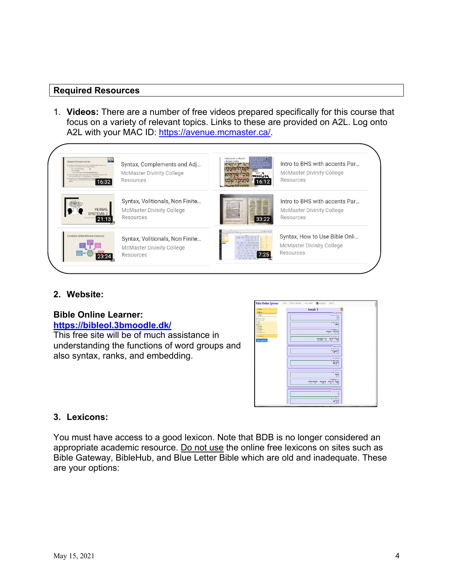#### **Required Resources**

1. **Videos:** There are a number of free videos prepared specifically for this course that focus on a variety of relevant topics. Links to these are provided on A2L. Log onto A2L with your MAC ID: https://avenue.mcmaster.ca/.



#### **2. Website:**

### **Bible Online Learner: https://bibleol.3bmoodle.dk/**

This free site will be of much assistance in understanding the functions of word groups and also syntax, ranks, and embedding.



#### **3. Lexicons:**

You must have access to a good lexicon. Note that BDB is no longer considered an appropriate academic resource. Do not use the online free lexicons on sites such as Bible Gateway, BibleHub, and Blue Letter Bible which are old and inadequate. These are your options: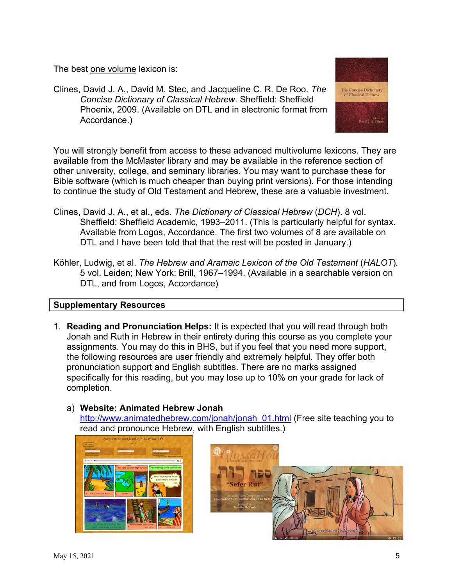The best one volume lexicon is:

Clines, David J. A., David M. Stec, and Jacqueline C. R. De Roo. *The Concise Dictionary of Classical Hebrew*. Sheffield: Sheffield Phoenix, 2009. (Available on DTL and in electronic format from Accordance.)

The Concise Dictionary<br>of Classical Hebrew

You will strongly benefit from access to these advanced multivolume lexicons. They are available from the McMaster library and may be available in the reference section of other university, college, and seminary libraries. You may want to purchase these for Bible software (which is much cheaper than buying print versions). For those intending to continue the study of Old Testament and Hebrew, these are a valuable investment.

- Clines, David J. A., et al., eds. *The Dictionary of Classical Hebrew* (*DCH*). 8 vol. Sheffield: Sheffield Academic, 1993–2011. (This is particularly helpful for syntax. Available from Logos, Accordance. The first two volumes of 8 are available on DTL and I have been told that that the rest will be posted in January.)
- Köhler, Ludwig, et al. *The Hebrew and Aramaic Lexicon of the Old Testament* (*HALOT*)*.* 5 vol. Leiden; New York: Brill, 1967–1994. (Available in a searchable version on DTL, and from Logos, Accordance)

# **Supplementary Resources**

1. **Reading and Pronunciation Helps:** It is expected that you will read through both Jonah and Ruth in Hebrew in their entirety during this course as you complete your assignments. You may do this in BHS, but if you feel that you need more support, the following resources are user friendly and extremely helpful. They offer both pronunciation support and English subtitles. There are no marks assigned specifically for this reading, but you may lose up to 10% on your grade for lack of completion.



# a) **Website: Animated Hebrew Jonah**

http://www.animatedhebrew.com/jonah/jonah\_01.html (Free site teaching you to read and pronounce Hebrew, with English subtitles.)

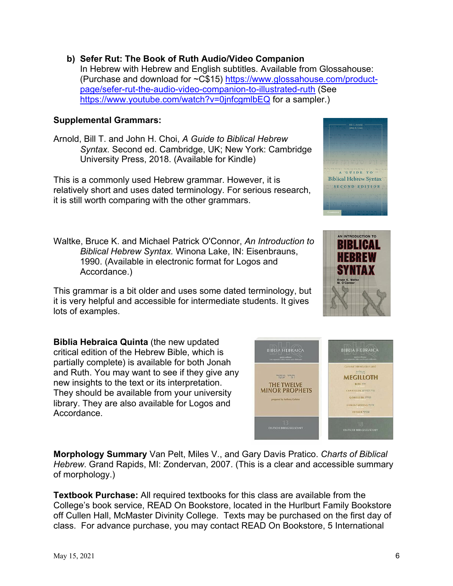**b) Sefer Rut: The Book of Ruth Audio/Video Companion** In Hebrew with Hebrew and English subtitles. Available from Glossahouse: (Purchase and download for ~C\$15) https://www.glossahouse.com/productpage/sefer-rut-the-audio-video-companion-to-illustrated-ruth (See https://www.youtube.com/watch?v=0jnfcgmlbEQ for a sampler.)

#### **Supplemental Grammars:**

Arnold, Bill T. and John H. Choi, *A Guide to Biblical Hebrew Syntax.* Second ed. Cambridge, UK; New York: Cambridge University Press, 2018. (Available for Kindle)

This is a commonly used Hebrew grammar. However, it is relatively short and uses dated terminology. For serious research, it is still worth comparing with the other grammars.

Waltke, Bruce K. and Michael Patrick O'Connor, *An Introduction to Biblical Hebrew Syntax.* Winona Lake, IN: Eisenbrauns, 1990. (Available in electronic format for Logos and Accordance.)

This grammar is a bit older and uses some dated terminology, but it is very helpful and accessible for intermediate students. It gives lots of examples.

**Biblia Hebraica Quinta** (the new updated critical edition of the Hebrew Bible, which is partially complete) is available for both Jonah and Ruth. You may want to see if they give any new insights to the text or its interpretation. They should be available from your university library. They are also available for Logos and Accordance.

**Morphology Summary** Van Pelt, Miles V., and Gary Davis Pratico. *Charts of Biblical Hebrew*. Grand Rapids, MI: Zondervan, 2007. (This is a clear and accessible summary of morphology.)

**Textbook Purchase:** All required textbooks for this class are available from the College's book service, READ On Bookstore, located in the Hurlburt Family Bookstore off Cullen Hall, McMaster Divinity College. Texts may be purchased on the first day of class. For advance purchase, you may contact READ On Bookstore, 5 International





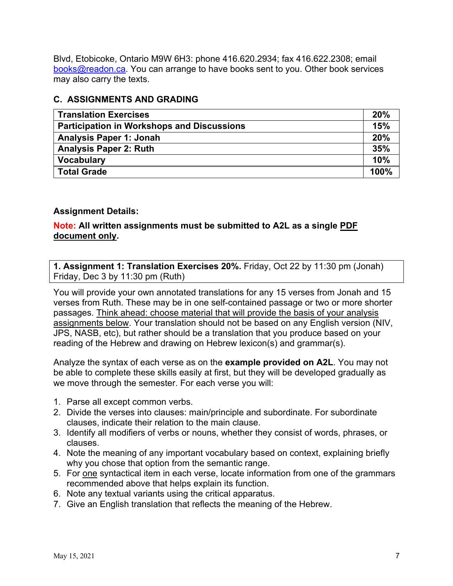Blvd, Etobicoke, Ontario M9W 6H3: phone 416.620.2934; fax 416.622.2308; email books@readon.ca. You can arrange to have books sent to you. Other book services may also carry the texts.

#### **C. ASSIGNMENTS AND GRADING**

| <b>Translation Exercises</b>                      | 20%  |
|---------------------------------------------------|------|
| <b>Participation in Workshops and Discussions</b> | 15%  |
| <b>Analysis Paper 1: Jonah</b>                    | 20%  |
| <b>Analysis Paper 2: Ruth</b>                     | 35%  |
| <b>Vocabulary</b>                                 | 10%  |
| <b>Total Grade</b>                                | 100% |

### **Assignment Details:**

### **Note: All written assignments must be submitted to A2L as a single PDF document only.**

**1. Assignment 1: Translation Exercises 20%.** Friday, Oct 22 by 11:30 pm (Jonah) Friday, Dec 3 by 11:30 pm (Ruth)

You will provide your own annotated translations for any 15 verses from Jonah and 15 verses from Ruth. These may be in one self-contained passage or two or more shorter passages. Think ahead: choose material that will provide the basis of your analysis assignments below. Your translation should not be based on any English version (NIV, JPS, NASB, etc), but rather should be a translation that you produce based on your reading of the Hebrew and drawing on Hebrew lexicon(s) and grammar(s).

Analyze the syntax of each verse as on the **example provided on A2L**. You may not be able to complete these skills easily at first, but they will be developed gradually as we move through the semester. For each verse you will:

- 1. Parse all except common verbs.
- 2. Divide the verses into clauses: main/principle and subordinate. For subordinate clauses, indicate their relation to the main clause.
- 3. Identify all modifiers of verbs or nouns, whether they consist of words, phrases, or clauses.
- 4. Note the meaning of any important vocabulary based on context, explaining briefly why you chose that option from the semantic range.
- 5. For one syntactical item in each verse, locate information from one of the grammars recommended above that helps explain its function.
- 6. Note any textual variants using the critical apparatus.
- 7. Give an English translation that reflects the meaning of the Hebrew.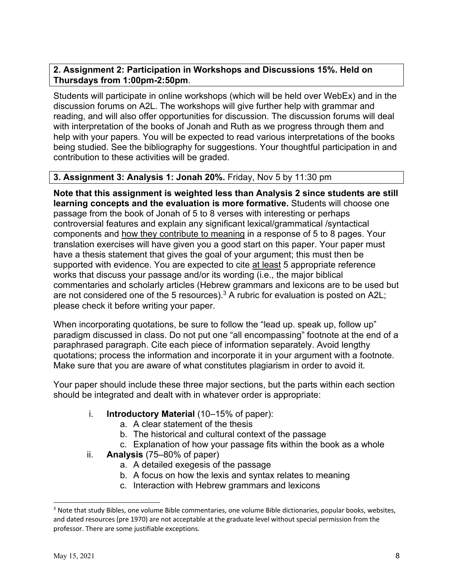### **2. Assignment 2: Participation in Workshops and Discussions 15%. Held on Thursdays from 1:00pm-2:50pm**.

Students will participate in online workshops (which will be held over WebEx) and in the discussion forums on A2L. The workshops will give further help with grammar and reading, and will also offer opportunities for discussion. The discussion forums will deal with interpretation of the books of Jonah and Ruth as we progress through them and help with your papers. You will be expected to read various interpretations of the books being studied. See the bibliography for suggestions. Your thoughtful participation in and contribution to these activities will be graded.

### **3. Assignment 3: Analysis 1: Jonah 20%.** Friday, Nov 5 by 11:30 pm

**Note that this assignment is weighted less than Analysis 2 since students are still learning concepts and the evaluation is more formative.** Students will choose one passage from the book of Jonah of 5 to 8 verses with interesting or perhaps controversial features and explain any significant lexical/grammatical /syntactical components and how they contribute to meaning in a response of 5 to 8 pages. Your translation exercises will have given you a good start on this paper. Your paper must have a thesis statement that gives the goal of your argument; this must then be supported with evidence. You are expected to cite at least 5 appropriate reference works that discuss your passage and/or its wording (i.e., the major biblical commentaries and scholarly articles (Hebrew grammars and lexicons are to be used but are not considered one of the 5 resources). $3$  A rubric for evaluation is posted on A2L; please check it before writing your paper.

When incorporating quotations, be sure to follow the "lead up. speak up, follow up" paradigm discussed in class. Do not put one "all encompassing" footnote at the end of a paraphrased paragraph. Cite each piece of information separately. Avoid lengthy quotations; process the information and incorporate it in your argument with a footnote. Make sure that you are aware of what constitutes plagiarism in order to avoid it.

Your paper should include these three major sections, but the parts within each section should be integrated and dealt with in whatever order is appropriate:

#### i. **Introductory Material** (10–15% of paper):

- a. A clear statement of the thesis
- b. The historical and cultural context of the passage
- c. Explanation of how your passage fits within the book as a whole
- ii. **Analysis** (75–80% of paper)
	- a. A detailed exegesis of the passage
	- b. A focus on how the lexis and syntax relates to meaning
	- c. Interaction with Hebrew grammars and lexicons

<sup>&</sup>lt;sup>3</sup> Note that study Bibles, one volume Bible commentaries, one volume Bible dictionaries, popular books, websites, and dated resources (pre 1970) are not acceptable at the graduate level without special permission from the professor. There are some justifiable exceptions.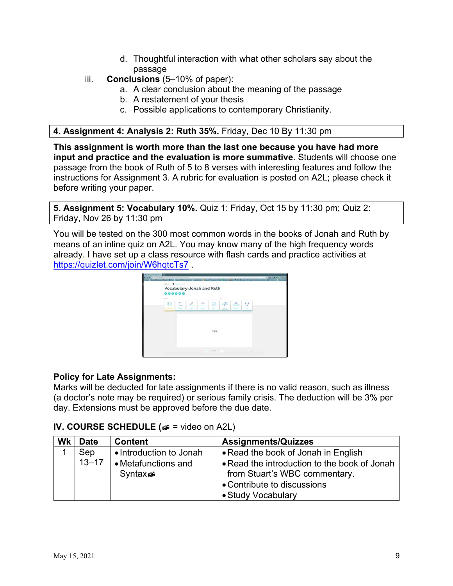- d. Thoughtful interaction with what other scholars say about the passage
- iii. **Conclusions** (5–10% of paper):
	- a. A clear conclusion about the meaning of the passage
	- b. A restatement of your thesis
	- c. Possible applications to contemporary Christianity.

### **4. Assignment 4: Analysis 2: Ruth 35%.** Friday, Dec 10 By 11:30 pm

**This assignment is worth more than the last one because you have had more input and practice and the evaluation is more summative**. Students will choose one passage from the book of Ruth of 5 to 8 verses with interesting features and follow the instructions for Assignment 3. A rubric for evaluation is posted on A2L; please check it before writing your paper.

**5. Assignment 5: Vocabulary 10%.** Quiz 1: Friday, Oct 15 by 11:30 pm; Quiz 2: Friday, Nov 26 by 11:30 pm

You will be tested on the 300 most common words in the books of Jonah and Ruth by means of an inline quiz on A2L. You may know many of the high frequency words already. I have set up a class resource with flash cards and practice activities at https://quizlet.com/join/W6hqtcTs7.



### **Policy for Late Assignments:**

Marks will be deducted for late assignments if there is no valid reason, such as illness (a doctor's note may be required) or serious family crisis. The deduction will be 3% per day. Extensions must be approved before the due date.

### **IV. COURSE SCHEDULE (**¹ = video on A2L)

| Wk | <b>Date</b> | <b>Content</b>          | <b>Assignments/Quizzes</b>                   |
|----|-------------|-------------------------|----------------------------------------------|
|    | Sep         | • Introduction to Jonah | • Read the book of Jonah in English          |
|    | $13 - 17$   | • Metafunctions and     | • Read the introduction to the book of Jonah |
|    |             | Syntax                  | from Stuart's WBC commentary.                |
|    |             |                         | • Contribute to discussions                  |
|    |             |                         | • Study Vocabulary                           |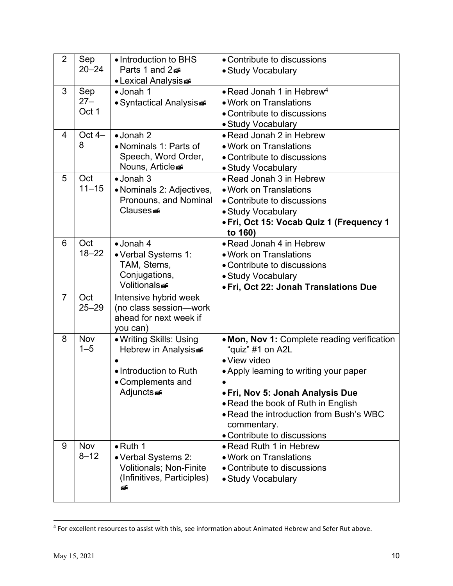| 2              | Sep<br>$20 - 24$ | • Introduction to BHS<br>Parts 1 and 2          | • Contribute to discussions<br>• Study Vocabulary   |
|----------------|------------------|-------------------------------------------------|-----------------------------------------------------|
|                |                  | • Lexical Analysis                              |                                                     |
| 3              | Sep              | • Jonah 1                                       | • Read Jonah 1 in Hebrew <sup>4</sup>               |
|                | $27 -$           | • Syntactical Analysis                          | • Work on Translations                              |
|                | Oct 1            |                                                 | • Contribute to discussions                         |
|                |                  |                                                 | • Study Vocabulary                                  |
| $\overline{4}$ | Oct $4-$         | $\bullet$ Jonah 2                               | • Read Jonah 2 in Hebrew                            |
|                | 8                | • Nominals 1: Parts of                          | • Work on Translations                              |
|                |                  | Speech, Word Order,                             | • Contribute to discussions                         |
|                |                  | Nouns, Article                                  | • Study Vocabulary                                  |
| 5              | Oct              | $\bullet$ Jonah 3                               | • Read Jonah 3 in Hebrew                            |
|                | $11 - 15$        | · Nominals 2: Adjectives,                       | • Work on Translations                              |
|                |                  | Pronouns, and Nominal                           | • Contribute to discussions                         |
|                |                  | <b>Clauses</b>                                  | • Study Vocabulary                                  |
|                |                  |                                                 | • Fri, Oct 15: Vocab Quiz 1 (Frequency 1<br>to 160) |
| 6              | Oct              | $\bullet$ Jonah 4                               | • Read Jonah 4 in Hebrew                            |
|                | $18 - 22$        | • Verbal Systems 1:                             | • Work on Translations                              |
|                |                  | TAM, Stems,                                     | • Contribute to discussions                         |
|                |                  | Conjugations,                                   | • Study Vocabulary                                  |
|                |                  | Volitionals                                     | • Fri, Oct 22: Jonah Translations Due               |
| $\overline{7}$ | Oct<br>$25 - 29$ | Intensive hybrid week<br>(no class session-work |                                                     |
|                |                  | ahead for next week if<br>you can)              |                                                     |
| 8              | <b>Nov</b>       | • Writing Skills: Using                         | • Mon, Nov 1: Complete reading verification         |
|                | $1 - 5$          | Hebrew in Analysis                              | "quiz" #1 on A2L                                    |
|                |                  |                                                 | • View video                                        |
|                |                  | • Introduction to Ruth                          | • Apply learning to writing your paper              |
|                |                  | • Complements and                               |                                                     |
|                |                  | Adjunctse                                       | • Fri, Nov 5: Jonah Analysis Due                    |
|                |                  |                                                 | • Read the book of Ruth in English                  |
|                |                  |                                                 | . Read the introduction from Bush's WBC             |
|                |                  |                                                 | commentary.                                         |
|                |                  |                                                 | • Contribute to discussions                         |
| 9              | <b>Nov</b>       | $\bullet$ Ruth 1                                | • Read Ruth 1 in Hebrew                             |
|                | $8 - 12$         | • Verbal Systems 2:                             | • Work on Translations                              |
|                |                  | <b>Volitionals; Non-Finite</b>                  | • Contribute to discussions                         |
|                |                  | (Infinitives, Participles)<br>бĒ                | • Study Vocabulary                                  |
|                |                  |                                                 |                                                     |

<sup>4</sup> For excellent resources to assist with this, see information about Animated Hebrew and Sefer Rut above.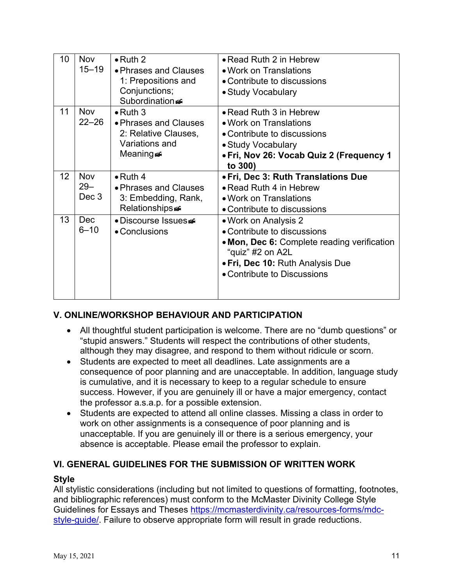| 10              | <b>Nov</b><br>$15 - 19$       | $\bullet$ Ruth 2<br>• Phrases and Clauses<br>1: Prepositions and<br>Conjunctions;<br>Subordination | • Read Ruth 2 in Hebrew<br>• Work on Translations<br>• Contribute to discussions<br>• Study Vocabulary                                                                                    |
|-----------------|-------------------------------|----------------------------------------------------------------------------------------------------|-------------------------------------------------------------------------------------------------------------------------------------------------------------------------------------------|
| 11              | <b>Nov</b><br>$22 - 26$       | $\bullet$ Ruth 3<br>• Phrases and Clauses<br>2: Relative Clauses,<br>Variations and<br>Meaninge≅   | • Read Ruth 3 in Hebrew<br>• Work on Translations<br>• Contribute to discussions<br>• Study Vocabulary<br>• Fri, Nov 26: Vocab Quiz 2 (Frequency 1<br>to 300)                             |
| 12 <sup>2</sup> | <b>Nov</b><br>$29 -$<br>Dec 3 | $\bullet$ Ruth 4<br>• Phrases and Clauses<br>3: Embedding, Rank,<br>Relationships                  | • Fri, Dec 3: Ruth Translations Due<br>• Read Ruth 4 in Hebrew<br>• Work on Translations<br>• Contribute to discussions                                                                   |
| 13              | Dec<br>$6 - 10$               | • Discourse Issues<br>• Conclusions                                                                | • Work on Analysis 2<br>• Contribute to discussions<br>• Mon, Dec 6: Complete reading verification<br>"quiz" #2 on A2L<br>• Fri, Dec 10: Ruth Analysis Due<br>• Contribute to Discussions |

### **V. ONLINE/WORKSHOP BEHAVIOUR AND PARTICIPATION**

- All thoughtful student participation is welcome. There are no "dumb questions" or "stupid answers." Students will respect the contributions of other students, although they may disagree, and respond to them without ridicule or scorn.
- Students are expected to meet all deadlines. Late assignments are a consequence of poor planning and are unacceptable. In addition, language study is cumulative, and it is necessary to keep to a regular schedule to ensure success. However, if you are genuinely ill or have a major emergency, contact the professor a.s.a.p. for a possible extension.
- Students are expected to attend all online classes. Missing a class in order to work on other assignments is a consequence of poor planning and is unacceptable. If you are genuinely ill or there is a serious emergency, your absence is acceptable. Please email the professor to explain.

### **VI. GENERAL GUIDELINES FOR THE SUBMISSION OF WRITTEN WORK**

#### **Style**

All stylistic considerations (including but not limited to questions of formatting, footnotes, and bibliographic references) must conform to the McMaster Divinity College Style Guidelines for Essays and Theses https://mcmasterdivinity.ca/resources-forms/mdcstyle-guide/. Failure to observe appropriate form will result in grade reductions.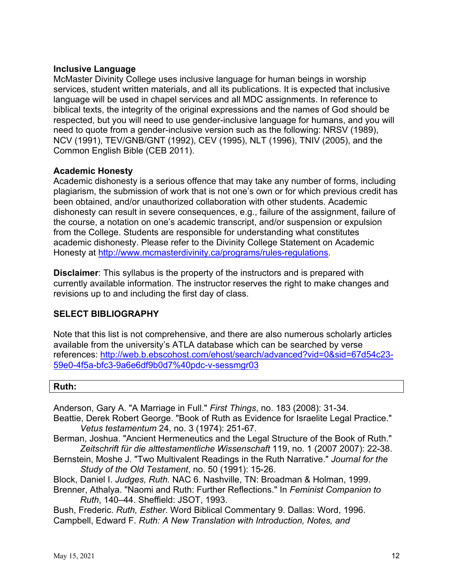#### **Inclusive Language**

McMaster Divinity College uses inclusive language for human beings in worship services, student written materials, and all its publications. It is expected that inclusive language will be used in chapel services and all MDC assignments. In reference to biblical texts, the integrity of the original expressions and the names of God should be respected, but you will need to use gender-inclusive language for humans, and you will need to quote from a gender-inclusive version such as the following: NRSV (1989), NCV (1991), TEV/GNB/GNT (1992), CEV (1995), NLT (1996), TNIV (2005), and the Common English Bible (CEB 2011).

#### **Academic Honesty**

Academic dishonesty is a serious offence that may take any number of forms, including plagiarism, the submission of work that is not one's own or for which previous credit has been obtained, and/or unauthorized collaboration with other students. Academic dishonesty can result in severe consequences, e.g., failure of the assignment, failure of the course, a notation on one's academic transcript, and/or suspension or expulsion from the College. Students are responsible for understanding what constitutes academic dishonesty. Please refer to the Divinity College Statement on Academic Honesty at http://www.mcmasterdivinity.ca/programs/rules-regulations.

**Disclaimer**: This syllabus is the property of the instructors and is prepared with currently available information. The instructor reserves the right to make changes and revisions up to and including the first day of class.

### **SELECT BIBLIOGRAPHY**

Note that this list is not comprehensive, and there are also numerous scholarly articles available from the university's ATLA database which can be searched by verse references: http://web.b.ebscohost.com/ehost/search/advanced?vid=0&sid=67d54c23- 59e0-4f5a-bfc3-9a6e6df9b0d7%40pdc-v-sessmgr03

#### **Ruth:**

Anderson, Gary A. "A Marriage in Full." *First Things*, no. 183 (2008): 31-34.

- Beattie, Derek Robert George. "Book of Ruth as Evidence for Israelite Legal Practice." *Vetus testamentum* 24, no. 3 (1974): 251-67.
- Berman, Joshua. "Ancient Hermeneutics and the Legal Structure of the Book of Ruth." *Zeitschrift für die alttestamentliche Wissenschaft* 119, no. 1 (2007 2007): 22-38.
- Bernstein, Moshe J. "Two Multivalent Readings in the Ruth Narrative." *Journal for the Study of the Old Testament*, no. 50 (1991): 15-26.
- Block, Daniel I. *Judges, Ruth.* NAC 6. Nashville, TN: Broadman & Holman, 1999.
- Brenner, Athalya. "Naomi and Ruth: Further Reflections." In *Feminist Companion to Ruth*, 140–44. Sheffield: JSOT, 1993.
- Bush, Frederic. *Ruth, Esther*. Word Biblical Commentary 9. Dallas: Word, 1996. Campbell, Edward F. *Ruth: A New Translation with Introduction, Notes, and*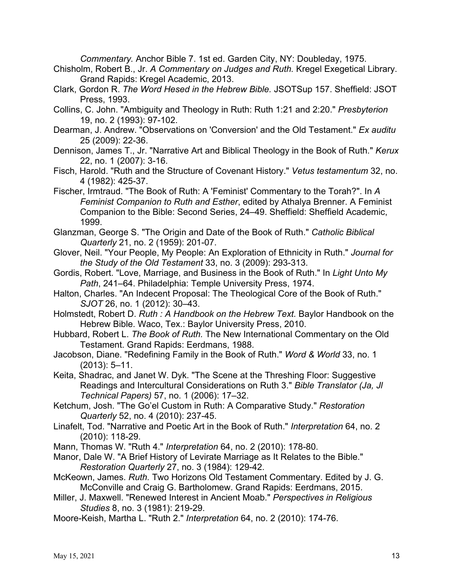*Commentary.* Anchor Bible 7. 1st ed. Garden City, NY: Doubleday, 1975.

- Chisholm, Robert B., Jr. *A Commentary on Judges and Ruth.* Kregel Exegetical Library. Grand Rapids: Kregel Academic, 2013.
- Clark, Gordon R. *The Word Hesed in the Hebrew Bible.* JSOTSup 157. Sheffield: JSOT Press, 1993.
- Collins, C. John. "Ambiguity and Theology in Ruth: Ruth 1:21 and 2:20." *Presbyterion*  19, no. 2 (1993): 97-102.
- Dearman, J. Andrew. "Observations on 'Conversion' and the Old Testament." *Ex auditu*  25 (2009): 22-36.
- Dennison, James T., Jr. "Narrative Art and Biblical Theology in the Book of Ruth." *Kerux*  22, no. 1 (2007): 3-16.
- Fisch, Harold. "Ruth and the Structure of Covenant History." *Vetus testamentum* 32, no. 4 (1982): 425-37.
- Fischer, Irmtraud. "The Book of Ruth: A 'Feminist' Commentary to the Torah?". In *A Feminist Companion to Ruth and Esther*, edited by Athalya Brenner. A Feminist Companion to the Bible: Second Series, 24–49. Sheffield: Sheffield Academic, 1999.
- Glanzman, George S. "The Origin and Date of the Book of Ruth." *Catholic Biblical Quarterly* 21, no. 2 (1959): 201-07.
- Glover, Neil. "Your People, My People: An Exploration of Ethnicity in Ruth." *Journal for the Study of the Old Testament* 33, no. 3 (2009): 293-313.
- Gordis, Robert. "Love, Marriage, and Business in the Book of Ruth." In *Light Unto My Path*, 241–64. Philadelphia: Temple University Press, 1974.
- Halton, Charles. "An Indecent Proposal: The Theological Core of the Book of Ruth." *SJOT* 26, no. 1 (2012): 30–43.
- Holmstedt, Robert D. *Ruth : A Handbook on the Hebrew Text.* Baylor Handbook on the Hebrew Bible. Waco, Tex.: Baylor University Press, 2010.
- Hubbard, Robert L. *The Book of Ruth.* The New International Commentary on the Old Testament. Grand Rapids: Eerdmans, 1988.
- Jacobson, Diane. "Redefining Family in the Book of Ruth." *Word & World* 33, no. 1 (2013): 5–11.
- Keita, Shadrac, and Janet W. Dyk. "The Scene at the Threshing Floor: Suggestive Readings and Intercultural Considerations on Ruth 3." *Bible Translator (Ja, Jl Technical Papers)* 57, no. 1 (2006): 17–32.
- Ketchum, Josh. "The Go'el Custom in Ruth: A Comparative Study." *Restoration Quarterly* 52, no. 4 (2010): 237-45.
- Linafelt, Tod. "Narrative and Poetic Art in the Book of Ruth." *Interpretation* 64, no. 2 (2010): 118-29.
- Mann, Thomas W. "Ruth 4." *Interpretation* 64, no. 2 (2010): 178-80.
- Manor, Dale W. "A Brief History of Levirate Marriage as It Relates to the Bible." *Restoration Quarterly* 27, no. 3 (1984): 129-42.
- McKeown, James. *Ruth.* Two Horizons Old Testament Commentary. Edited by J. G. McConville and Craig G. Bartholomew. Grand Rapids: Eerdmans, 2015.
- Miller, J. Maxwell. "Renewed Interest in Ancient Moab." *Perspectives in Religious Studies* 8, no. 3 (1981): 219-29.
- Moore-Keish, Martha L. "Ruth 2." *Interpretation* 64, no. 2 (2010): 174-76.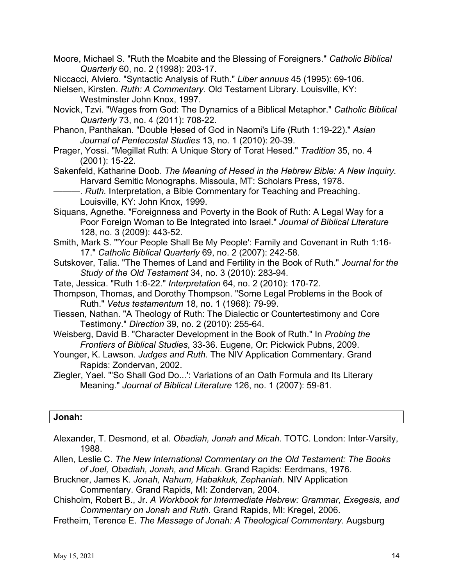Moore, Michael S. "Ruth the Moabite and the Blessing of Foreigners." *Catholic Biblical Quarterly* 60, no. 2 (1998): 203-17.

Niccacci, Alviero. "Syntactic Analysis of Ruth." *Liber annuus* 45 (1995): 69-106.

- Nielsen, Kirsten. *Ruth: A Commentary.* Old Testament Library. Louisville, KY: Westminster John Knox, 1997.
- Novick, Tzvi. "Wages from God: The Dynamics of a Biblical Metaphor." *Catholic Biblical Quarterly* 73, no. 4 (2011): 708-22.
- Phanon, Panthakan. "Double Ḥesed of God in Naomi's Life (Ruth 1:19-22)." *Asian Journal of Pentecostal Studies* 13, no. 1 (2010): 20-39.
- Prager, Yossi. "Megillat Ruth: A Unique Story of Torat Hesed." *Tradition* 35, no. 4 (2001): 15-22.

Sakenfeld, Katharine Doob. *The Meaning of Hesed in the Hebrew Bible: A New Inquiry.* Harvard Semitic Monographs. Missoula, MT: Scholars Press, 1978.

-. *Ruth.* Interpretation, a Bible Commentary for Teaching and Preaching. Louisville, KY: John Knox, 1999.

- Siquans, Agnethe. "Foreignness and Poverty in the Book of Ruth: A Legal Way for a Poor Foreign Woman to Be Integrated into Israel." *Journal of Biblical Literature*  128, no. 3 (2009): 443-52.
- Smith, Mark S. "'Your People Shall Be My People': Family and Covenant in Ruth 1:16- 17." *Catholic Biblical Quarterly* 69, no. 2 (2007): 242-58.
- Sutskover, Talia. "The Themes of Land and Fertility in the Book of Ruth." *Journal for the Study of the Old Testament* 34, no. 3 (2010): 283-94.
- Tate, Jessica. "Ruth 1:6-22." *Interpretation* 64, no. 2 (2010): 170-72.
- Thompson, Thomas, and Dorothy Thompson. "Some Legal Problems in the Book of Ruth." *Vetus testamentum* 18, no. 1 (1968): 79-99.
- Tiessen, Nathan. "A Theology of Ruth: The Dialectic or Countertestimony and Core Testimony." *Direction* 39, no. 2 (2010): 255-64.
- Weisberg, David B. "Character Development in the Book of Ruth." In *Probing the Frontiers of Biblical Studies*, 33-36. Eugene, Or: Pickwick Pubns, 2009.
- Younger, K. Lawson. *Judges and Ruth.* The NIV Application Commentary. Grand Rapids: Zondervan, 2002.
- Ziegler, Yael. "'So Shall God Do...': Variations of an Oath Formula and Its Literary Meaning." *Journal of Biblical Literature* 126, no. 1 (2007): 59-81.

#### **Jonah:**

Alexander, T. Desmond, et al. *Obadiah, Jonah and Micah*. TOTC. London: Inter-Varsity, 1988.

Allen, Leslie C. *The New International Commentary on the Old Testament: The Books of Joel, Obadiah, Jonah, and Micah*. Grand Rapids: Eerdmans, 1976.

- Bruckner, James K. *Jonah, Nahum, Habakkuk, Zephaniah*. NIV Application Commentary. Grand Rapids, MI: Zondervan, 2004.
- Chisholm, Robert B., Jr. *A Workbook for Intermediate Hebrew: Grammar, Exegesis, and Commentary on Jonah and Ruth*. Grand Rapids, MI: Kregel, 2006.
- Fretheim, Terence E. *The Message of Jonah: A Theological Commentary*. Augsburg